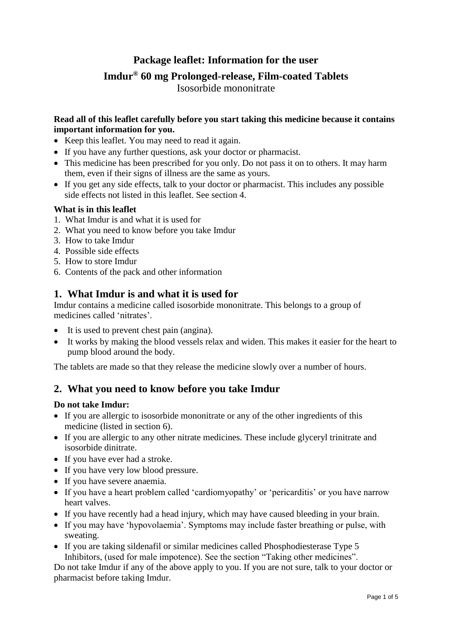# **Package leaflet: Information for the user**

# **Imdur® 60 mg Prolonged-release, Film-coated Tablets**

Isosorbide mononitrate

## **Read all of this leaflet carefully before you start taking this medicine because it contains important information for you.**

- Keep this leaflet. You may need to read it again.
- If you have any further questions, ask your doctor or pharmacist.
- This medicine has been prescribed for you only. Do not pass it on to others. It may harm them, even if their signs of illness are the same as yours.
- If you get any side effects, talk to your doctor or pharmacist. This includes any possible side effects not listed in this leaflet. See section 4.

## **What is in this leaflet**

- 1. What Imdur is and what it is used for
- 2. What you need to know before you take Imdur
- 3. How to take Imdur
- 4. Possible side effects
- 5. How to store Imdur
- 6. Contents of the pack and other information

## **1. What Imdur is and what it is used for**

Imdur contains a medicine called isosorbide mononitrate. This belongs to a group of medicines called 'nitrates'.

- It is used to prevent chest pain (angina).
- It works by making the blood vessels relax and widen. This makes it easier for the heart to pump blood around the body.

The tablets are made so that they release the medicine slowly over a number of hours.

## **2. What you need to know before you take Imdur**

#### **Do not take Imdur:**

- If you are allergic to isosorbide mononitrate or any of the other ingredients of this medicine (listed in section 6).
- If you are allergic to any other nitrate medicines. These include glyceryl trinitrate and isosorbide dinitrate.
- If you have ever had a stroke.
- If you have very low blood pressure.
- If you have severe anaemia.
- If you have a heart problem called 'cardiomyopathy' or 'pericarditis' or you have narrow heart valves.
- If you have recently had a head injury, which may have caused bleeding in your brain.
- If you may have 'hypovolaemia'. Symptoms may include faster breathing or pulse, with sweating.
- If you are taking sildenafil or similar medicines called Phosphodiesterase Type 5 Inhibitors, (used for male impotence). See the section "Taking other medicines".

Do not take Imdur if any of the above apply to you. If you are not sure, talk to your doctor or pharmacist before taking Imdur.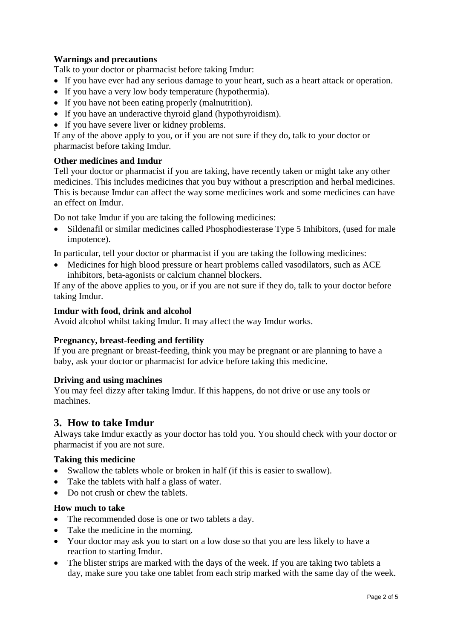## **Warnings and precautions**

Talk to your doctor or pharmacist before taking Imdur:

- If you have ever had any serious damage to your heart, such as a heart attack or operation.
- If you have a very low body temperature (hypothermia).
- If you have not been eating properly (malnutrition).
- If you have an underactive thyroid gland (hypothyroidism).
- If you have severe liver or kidney problems.

If any of the above apply to you, or if you are not sure if they do, talk to your doctor or pharmacist before taking Imdur.

## **Other medicines and Imdur**

Tell your doctor or pharmacist if you are taking, have recently taken or might take any other medicines. This includes medicines that you buy without a prescription and herbal medicines. This is because Imdur can affect the way some medicines work and some medicines can have an effect on Imdur.

Do not take Imdur if you are taking the following medicines:

 Sildenafil or similar medicines called Phosphodiesterase Type 5 Inhibitors, (used for male impotence).

In particular, tell your doctor or pharmacist if you are taking the following medicines:

 Medicines for high blood pressure or heart problems called vasodilators, such as ACE inhibitors, beta-agonists or calcium channel blockers.

If any of the above applies to you, or if you are not sure if they do, talk to your doctor before taking Imdur.

### **Imdur with food, drink and alcohol**

Avoid alcohol whilst taking Imdur. It may affect the way Imdur works.

## **Pregnancy, breast-feeding and fertility**

If you are pregnant or breast-feeding, think you may be pregnant or are planning to have a baby, ask your doctor or pharmacist for advice before taking this medicine.

#### **Driving and using machines**

You may feel dizzy after taking Imdur. If this happens, do not drive or use any tools or machines.

## **3. How to take Imdur**

Always take Imdur exactly as your doctor has told you. You should check with your doctor or pharmacist if you are not sure.

#### **Taking this medicine**

- Swallow the tablets whole or broken in half (if this is easier to swallow).
- Take the tablets with half a glass of water.
- Do not crush or chew the tablets.

#### **How much to take**

- The recommended dose is one or two tablets a day.
- Take the medicine in the morning.
- Your doctor may ask you to start on a low dose so that you are less likely to have a reaction to starting Imdur.
- The blister strips are marked with the days of the week. If you are taking two tablets a day, make sure you take one tablet from each strip marked with the same day of the week.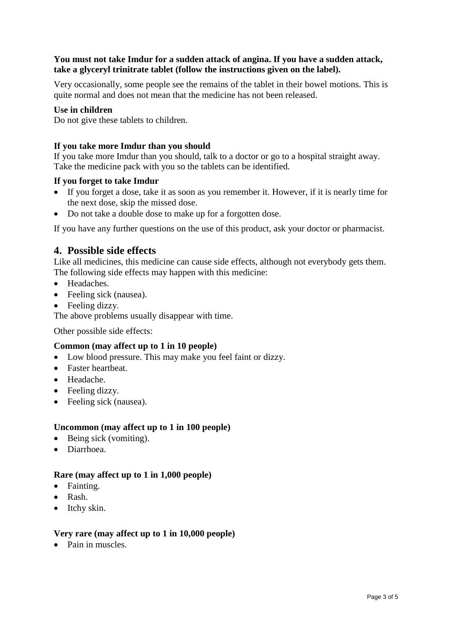## **You must not take Imdur for a sudden attack of angina. If you have a sudden attack, take a glyceryl trinitrate tablet (follow the instructions given on the label).**

Very occasionally, some people see the remains of the tablet in their bowel motions. This is quite normal and does not mean that the medicine has not been released.

#### **Use in children**

Do not give these tablets to children.

#### **If you take more Imdur than you should**

If you take more Imdur than you should, talk to a doctor or go to a hospital straight away. Take the medicine pack with you so the tablets can be identified.

#### **If you forget to take Imdur**

- If you forget a dose, take it as soon as you remember it. However, if it is nearly time for the next dose, skip the missed dose.
- Do not take a double dose to make up for a forgotten dose.

If you have any further questions on the use of this product, ask your doctor or pharmacist.

## **4. Possible side effects**

Like all medicines, this medicine can cause side effects, although not everybody gets them. The following side effects may happen with this medicine:

- Headaches.
- Feeling sick (nausea).
- Feeling dizzy.

The above problems usually disappear with time.

Other possible side effects:

#### **Common (may affect up to 1 in 10 people)**

- Low blood pressure. This may make you feel faint or dizzy.
- Faster heartheat.
- Headache.
- Feeling dizzy.
- Feeling sick (nausea).

#### **Uncommon (may affect up to 1 in 100 people)**

- $\bullet$  Being sick (vomiting).
- Diarrhoea.

#### **Rare (may affect up to 1 in 1,000 people)**

- Fainting.
- Rash.
- Itchy skin.

#### **Very rare (may affect up to 1 in 10,000 people)**

• Pain in muscles.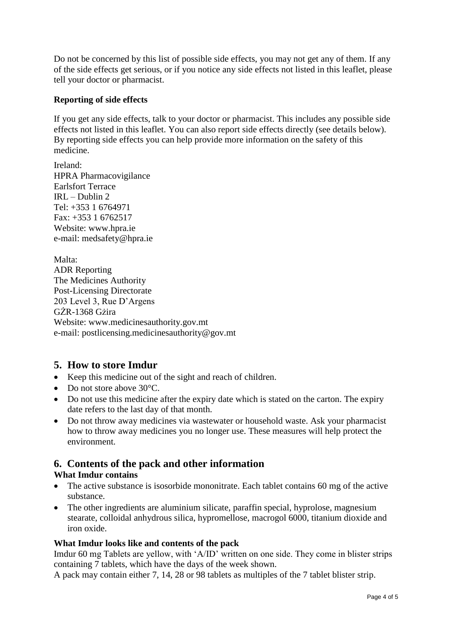Do not be concerned by this list of possible side effects, you may not get any of them. If any of the side effects get serious, or if you notice any side effects not listed in this leaflet, please tell your doctor or pharmacist.

## **Reporting of side effects**

If you get any side effects, talk to your doctor or pharmacist. This includes any possible side effects not listed in this leaflet. You can also report side effects directly (see details below). By reporting side effects you can help provide more information on the safety of this medicine.

Ireland: HPRA Pharmacovigilance Earlsfort Terrace IRL – Dublin 2 Tel: +353 1 6764971 Fax: +353 1 6762517 Website: www.hpra.ie e-mail: medsafety@hpra.ie

Malta: ADR Reporting The Medicines Authority Post-Licensing Directorate 203 Level 3, Rue D'Argens GŻR-1368 Gżira Website: www.medicinesauthority.gov.mt e-mail: postlicensing.medicinesauthority@gov.mt

## **5. How to store Imdur**

- Keep this medicine out of the sight and reach of children.
- Do not store above 30°C.
- Do not use this medicine after the expiry date which is stated on the carton. The expiry date refers to the last day of that month.
- Do not throw away medicines via wastewater or household waste. Ask your pharmacist how to throw away medicines you no longer use. These measures will help protect the environment.

## **6. Contents of the pack and other information**

#### **What Imdur contains**

- The active substance is isosorbide mononitrate. Each tablet contains 60 mg of the active substance.
- The other ingredients are aluminium silicate, paraffin special, hyprolose, magnesium stearate, colloidal anhydrous silica, hypromellose, macrogol 6000, titanium dioxide and iron oxide.

#### **What Imdur looks like and contents of the pack**

Imdur 60 mg Tablets are yellow, with 'A/ID' written on one side. They come in blister strips containing 7 tablets, which have the days of the week shown.

A pack may contain either 7, 14, 28 or 98 tablets as multiples of the 7 tablet blister strip.